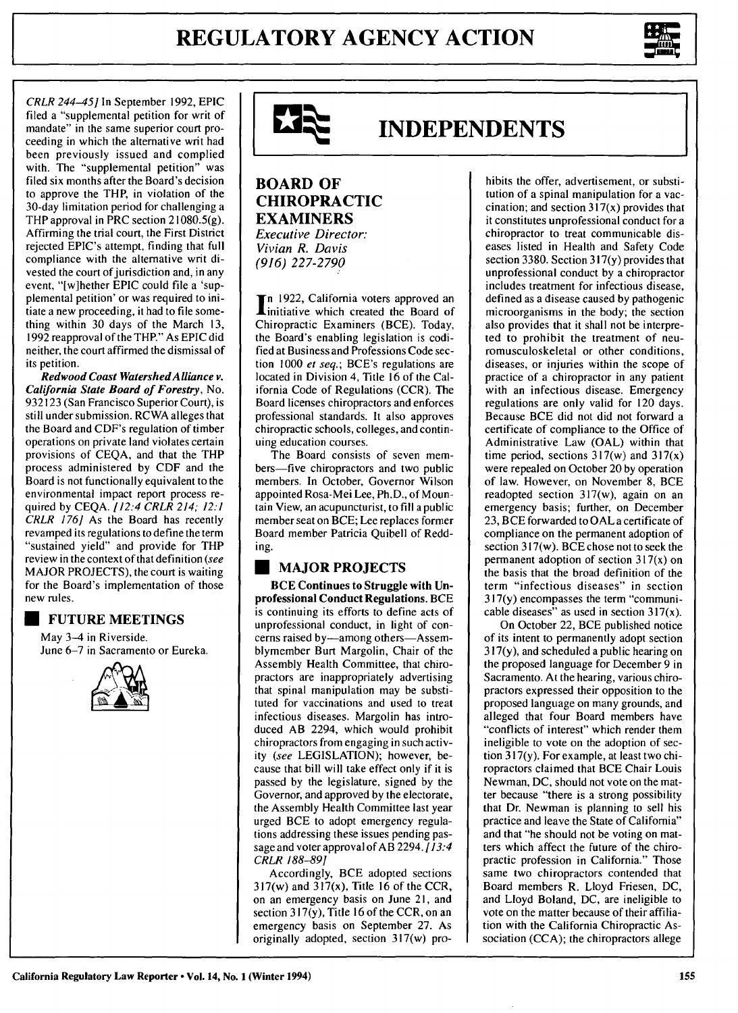

CRLR *244-45]* In September 1992, EPIC filed a "supplemental petition for writ of mandate" in the same superior court proceeding in which the alternative writ had been previously issued and complied with. The "supplemental petition" was filed six months after the Board's decision to approve the THP, in violation of the 30-day limitation period for challenging a THP approval in PRC section 21080.5(g). Affirming the trial court, the First District rejected EPIC's attempt, finding that full compliance with the alternative writ divested the court of jurisdiction and, in any event, "[w]hether EPIC could file a 'supplemental petition' or was required to initiate a new proceeding, it had to file something within 30 days of the March **13,** 1992 reapproval of the THP." As EPIC did neither, the court affirmed the dismissal of its petition.

*Redwood Coast WatershedAlliance v. California State Board of Forestry,* No. **932123** (San Francisco Superior Court), is still under submission. RCWA alleges that the Board and CDF's regulation of timber operations on private land violates certain provisions of **CEQA,** and that the THP process administered **by CDF** and the Board is not functionally equivalent to the environmental impact report process required **by CEQA.** *[12:4 CRLR 214; 12:1 CRLR 176]* As the Board has recently revamped its regulations to define the term "sustained yield" and provide for THP review in the context of that definition *(see* MAJOR **PROJECTS),** the court is waiting for the Board's implementation of those new rules.

## **U FUTURE MEETINGS**

May 3-4 in Riverside. June 6-7 in Sacramento or Eureka.





# **INDEPENDENTS**

#### **BOARD OF CHIROPRACTIC EXAMINERS** Executive Director: *Vivian R. Davis (916) 227-2790*

n **1922,** California voters approved an initiative which created the Board of Chiropractic Examiners **(BCE).** Today, the Board's enabling legislation is codified at Business and Professions Code section **1000** *et seq.;* BCE's regulations are located in Division 4, Title **16** of the California Code of Regulations (CCR). The Board licenses chiropractors and enforces professional standards. It also approves chiropractic schools, colleges, and continuing education courses.

The Board consists of seven members-five chiropractors and two public members. In October, Governor Wilson appointed Rosa-Mei Lee, Ph.D., of Mountain View, an acupuncturist, to **fill** a public member seat on BCE; Lee replaces former Board member Patricia Quibell of Redding.

## **MAJOR PROJECTS**

**BCE Continues to Struggle with Unprofessional Conduct Regulations. BCE** is continuing its **efforts to define acts of** unprofessional conduct, in light of concerns raised by—among others—Assemblymember Burt Margolin, Chair of the Assembly Health Committee, that chiropractors are inappropriately advertising that spinal manipulation may be substituted for vaccinations and used to treat infectious diseases. Margolin has introduced AB 2294, which would prohibit chiropractors from engaging in such activity *(see* **LEGISLATION);** however, because that bill will take effect only if it is passed **by** the legislature, signed **by** the Governor, and approved **by** the electorate, the Assembly Health Committee last year urged **BCE** to adopt emergency regulations addressing these issues pending passage and voter approval of AB 2294. [13:4] CRLR **188-89]**

Accordingly, **BCE** adopted sections 317(w) and 317(x), Title **16** of the CCR, on an emergency basis on June 21, and section **317(y),** Title **16** of the CCR, on an emergency basis on September **27.** As originally adopted, section 317(w) pro-

hibits the offer, advertisement, or substitution of a spinal manipulation for a vaccination; and section  $317(x)$  provides that it constitutes unprofessional conduct for a chiropractor to treat communicable diseases listed in Health and Safety Code section 3380. Section 317(y) provides that unprofessional conduct by a chiropractor includes treatment for infectious disease, defined as a disease caused by pathogenic microorganisms in the body; the section also provides that it shall not be interpreted to prohibit the treatment of neuromusculoskeletal or other conditions, diseases, or injuries within the scope of practice of a chiropractor in any patient with an infectious disease. Emergency regulations are only valid for 120 days. Because BCE did not did not forward a certificate of compliance to the Office of Administrative Law (OAL) within that time period, sections  $317(w)$  and  $317(x)$ were repealed on October 20 by operation of law. However, on November **8,** BCE readopted section 317(w), again on an emergency basis; further, on December 23, BCE forwarded to OAL a certificate of compliance on the permanent adoption of section 317(w). BCE chose not to seek the permanent adoption of section 317(x) on the basis that the broad definition of the term "infectious diseases" in section 317(y) encompasses the term "communicable diseases" as used in section  $317(x)$ .

On October 22, BCE published notice of its intent to permanently adopt section 317(y), and scheduled a public hearing on the proposed language for December 9 in Sacramento. At the hearing, various chiropractors expressed their opposition to the proposed language on many grounds, and alleged that four Board members have "conflicts of interest" which render them ineligible to vote on the adoption of section 317(y). For example, at least two chiropractors claimed that BCE Chair Louis Newman, DC, should not vote on the matter because "there is a strong possibility that Dr. Newman is planning to sell his practice and leave the State of California" and that "he should not be voting on matters which affect the future of the chiropractic profession in California." Those same two chiropractors contended that Board members R. Lloyd Friesen, DC, and Lloyd Boland, DC, are ineligible to vote on the matter because of their affiliation with the California Chiropractic Association (CCA); the chiropractors allege